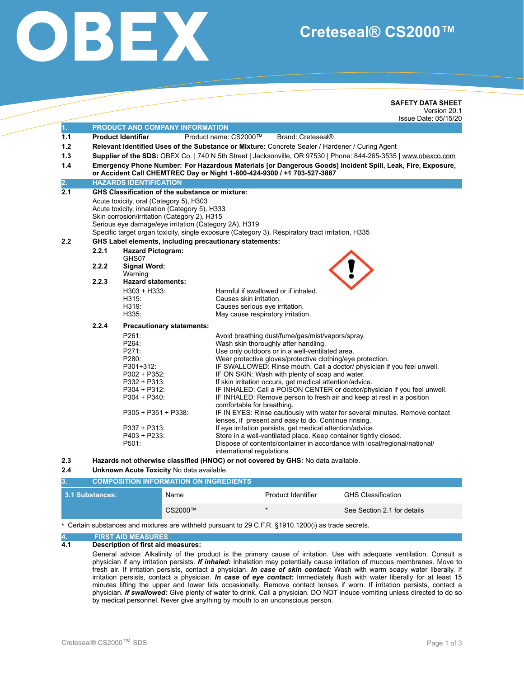

# **Creteseal® CS2000™**

|                          |                                                                                                                                                                                                                                                      | <b>SAFETY DATA SHEET</b><br>Version 20.1<br>Issue Date: 05/15/20                                                                                                                                                                                                                                                                                                                                                                                                                                                                                                                                                                                                                                                                                                                                                                                                                                                                                                          |
|--------------------------|------------------------------------------------------------------------------------------------------------------------------------------------------------------------------------------------------------------------------------------------------|---------------------------------------------------------------------------------------------------------------------------------------------------------------------------------------------------------------------------------------------------------------------------------------------------------------------------------------------------------------------------------------------------------------------------------------------------------------------------------------------------------------------------------------------------------------------------------------------------------------------------------------------------------------------------------------------------------------------------------------------------------------------------------------------------------------------------------------------------------------------------------------------------------------------------------------------------------------------------|
| 1.                       | PRODUCT AND COMPANY INFORMATION                                                                                                                                                                                                                      |                                                                                                                                                                                                                                                                                                                                                                                                                                                                                                                                                                                                                                                                                                                                                                                                                                                                                                                                                                           |
| 1.1<br>1.2<br>1.3<br>1.4 | <b>Product Identifier</b>                                                                                                                                                                                                                            | Product name: CS2000™<br>Brand: Creteseal®<br>Relevant Identified Uses of the Substance or Mixture: Concrete Sealer / Hardener / Curing Agent<br>Supplier of the SDS: OBEX Co.   740 N 5th Street   Jacksonville, OR 97530   Phone: 844-265-3535   www.obexco.com<br>Emergency Phone Number: For Hazardous Materials [or Dangerous Goods] Incident Spill, Leak, Fire, Exposure,<br>or Accident Call CHEMTREC Day or Night 1-800-424-9300 / +1 703-527-3887                                                                                                                                                                                                                                                                                                                                                                                                                                                                                                                |
| $\overline{2}$ .         | <b>HAZARDS IDENTIFICATION</b>                                                                                                                                                                                                                        |                                                                                                                                                                                                                                                                                                                                                                                                                                                                                                                                                                                                                                                                                                                                                                                                                                                                                                                                                                           |
| 2.1                      | GHS Classification of the substance or mixture:<br>Acute toxicity, oral (Category 5), H303<br>Acute toxicity, inhalation (Category 5), H333<br>Skin corrosion/irritation (Category 2), H315<br>Serious eye damage/eye irritation (Category 2A), H319 | Specific target organ toxicity, single exposure (Category 3), Respiratory tract irritation, H335                                                                                                                                                                                                                                                                                                                                                                                                                                                                                                                                                                                                                                                                                                                                                                                                                                                                          |
| 2.2                      | GHS Label elements, including precautionary statements:                                                                                                                                                                                              |                                                                                                                                                                                                                                                                                                                                                                                                                                                                                                                                                                                                                                                                                                                                                                                                                                                                                                                                                                           |
| 2.2.1                    | <b>Hazard Pictogram:</b>                                                                                                                                                                                                                             |                                                                                                                                                                                                                                                                                                                                                                                                                                                                                                                                                                                                                                                                                                                                                                                                                                                                                                                                                                           |
| 2.2.2<br>2.2.3           | GHS07<br><b>Signal Word:</b><br>Warning<br><b>Hazard statements:</b>                                                                                                                                                                                 |                                                                                                                                                                                                                                                                                                                                                                                                                                                                                                                                                                                                                                                                                                                                                                                                                                                                                                                                                                           |
|                          | $H303 + H333:$<br>H315:<br>H319:<br>H335:                                                                                                                                                                                                            | Harmful if swallowed or if inhaled.<br>Causes skin irritation.<br>Causes serious eye irritation.<br>May cause respiratory irritation.                                                                                                                                                                                                                                                                                                                                                                                                                                                                                                                                                                                                                                                                                                                                                                                                                                     |
| 2.2.4                    | <b>Precautionary statements:</b>                                                                                                                                                                                                                     |                                                                                                                                                                                                                                                                                                                                                                                                                                                                                                                                                                                                                                                                                                                                                                                                                                                                                                                                                                           |
|                          | P261:<br>P264:<br>P271:<br>P280:<br>P301+312:<br>P302 + P352:<br>$P332 + P313$ :<br>$P304 + P312$ :<br>$P304 + P340$ :<br>$P305 + P351 + P338$<br>P337 + P313:<br>P403 + P233:<br>P501:                                                              | Avoid breathing dust/fume/gas/mist/vapors/spray.<br>Wash skin thoroughly after handling.<br>Use only outdoors or in a well-ventilated area.<br>Wear protective gloves/protective clothing/eye protection.<br>IF SWALLOWED: Rinse mouth. Call a doctor/ physician if you feel unwell.<br>IF ON SKIN: Wash with plenty of soap and water.<br>If skin irritation occurs, get medical attention/advice.<br>IF INHALED: Call a POISON CENTER or doctor/physician if you feel unwell.<br>IF INHALED: Remove person to fresh air and keep at rest in a position<br>comfortable for breathing.<br>IF IN EYES: Rinse cautiously with water for several minutes. Remove contact<br>lenses, if present and easy to do. Continue rinsing.<br>If eye irritation persists, get medical attention/advice.<br>Store in a well-ventilated place. Keep container tightly closed.<br>Dispose of contents/container in accordance with local/regional/national/<br>international regulations. |

#### **2.4 Unknown Acute Toxicity** No data available.

| <b>COMPOSITION INFORMATION ON INGREDIENTS</b> |         |                    |                             |
|-----------------------------------------------|---------|--------------------|-----------------------------|
| <b>3.1 Substances:</b>                        | Name    | Product Identifier | <b>GHS Classification</b>   |
|                                               | CS2000™ |                    | See Section 2.1 for details |

\* Certain substances and mixtures are withheld pursuant to 29 C.F.R. §1910.1200(i) as trade secrets.

## **4. FIRST AID MEASURES**

#### **4.1 Description of first aid measures:**

General advice: Alkalinity of the product is the primary cause of irritation. Use with adequate ventilation. Consult a physician if any irritation persists. *If inhaled:* Inhalation may potentially cause irritation of mucous membranes. Move to fresh air. If irritation persists, contact a physician. *In case of skin contact:* Wash with warm soapy water liberally. If irritation persists, contact a physician. *In case of eye contact:* Immediately flush with water liberally for at least 15 minutes lifting the upper and lower lids occasionally. Remove contact lenses if worn. If irritation persists, contact a physician. *If swallowed:* Give plenty of water to drink. Call a physician. DO NOT induce vomiting unless directed to do so by medical personnel. Never give anything by mouth to an unconscious person.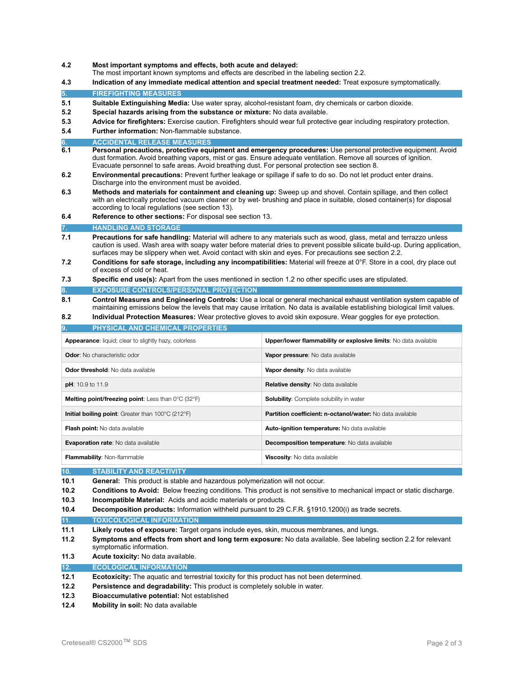- **4.2 Most important symptoms and effects, both acute and delayed:** 
	- The most important known symptoms and effects are described in the labeling section 2.2.
- **4.3 Indication of any immediate medical attention and special treatment needed:** Treat exposure symptomatically. **5. FIREFIGHTING MEASURES**
- **5.1 Suitable Extinguishing Media:** Use water spray, alcohol-resistant foam, dry chemicals or carbon dioxide.
- **5.2 Special hazards arising from the substance or mixture:** No data available.
- **5.3 Advice for firefighters:** Exercise caution. Firefighters should wear full protective gear including respiratory protection.
- **5.4 Further information:** Non-flammable substance.
- **6. ACCIDENTAL RELEASE MEASURES**
- Personal precautions, protective equipment and emergency procedures: Use personal protective equipment. Avoid dust formation. Avoid breathing vapors, mist or gas. Ensure adequate ventilation. Remove all sources of ignition. Evacuate personnel to safe areas. Avoid breathing dust. For personal protection see section 8.
- **6.2 Environmental precautions:** Prevent further leakage or spillage if safe to do so. Do not let product enter drains. Discharge into the environment must be avoided.
- **6.3 Methods and materials for containment and cleaning up:** Sweep up and shovel. Contain spillage, and then collect with an electrically protected vacuum cleaner or by wet- brushing and place in suitable, closed container(s) for disposal according to local regulations (see section 13).
- **6.4 Reference to other sections:** For disposal see section 13.

#### **7. HANDLING AND STORAGE**

- **7.1 Precautions for safe handling:** Material will adhere to any materials such as wood, glass, metal and terrazzo unless caution is used. Wash area with soapy water before material dries to prevent possible silicate build-up. During application, surfaces may be slippery when wet. Avoid contact with skin and eyes. For precautions see section 2.2.
- **7.2 Conditions for safe storage, including any incompatibilities:** Material will freeze at 0°F. Store in a cool, dry place out of excess of cold or heat.
- **7.3 Specific end use(s):** Apart from the uses mentioned in section 1.2 no other specific uses are stipulated.
- **EXPOSURE CONTROLS/PERSONAL PROTECTION**

**8.1 Control Measures and Engineering Controls:** Use a local or general mechanical exhaust ventilation system capable of maintaining emissions below the levels that may cause irritation. No data is available establishing biological limit values.

**8.2 Individual Protection Measures:** Wear protective gloves to avoid skin exposure. Wear goggles for eye protection.

| <b>PHYSICAL AND CHEMICAL PROPERTIES</b><br>9.                                  |                                                                 |  |  |  |
|--------------------------------------------------------------------------------|-----------------------------------------------------------------|--|--|--|
| <b>Appearance:</b> liquid; clear to slightly hazy, colorless                   | Upper/lower flammability or explosive limits: No data available |  |  |  |
| <b>Odor:</b> No characteristic odor                                            | Vapor pressure: No data available                               |  |  |  |
| Odor threshold: No data available                                              | Vapor density: No data available                                |  |  |  |
| $pH: 10.9$ to 11.9                                                             | <b>Relative density:</b> No data available                      |  |  |  |
| <b>Melting point/freezing point:</b> Less than $0^{\circ}$ C (32 $^{\circ}$ F) | <b>Solubility:</b> Complete solubility in water                 |  |  |  |
| <b>Initial boiling point:</b> Greater than $100^{\circ}$ C (212 $^{\circ}$ F)  | Partition coefficient: n-octanol/water: No data available       |  |  |  |
| Flash point: No data available                                                 | Auto-ignition temperature: No data available                    |  |  |  |
| <b>Evaporation rate:</b> No data available                                     | <b>Decomposition temperature:</b> No data available             |  |  |  |
| Flammability: Non-flammable                                                    | <b>Viscosity:</b> No data available                             |  |  |  |
|                                                                                |                                                                 |  |  |  |

**10. STABILITY AND REACTIVITY** 

- **10.1 General:** This product is stable and hazardous polymerization will not occur.
- **10.2 Conditions to Avoid:** Below freezing conditions. This product is not sensitive to mechanical impact or static discharge.
- **10.3 Incompatible Material:** Acids and acidic materials or products.
- **10.4 Decomposition products:** Information withheld pursuant to 29 C.F.R. §1910.1200(i) as trade secrets.
- **11. TOXICOLOGICAL INFORMATION**
- **11.1 Likely routes of exposure:** Target organs include eyes, skin, mucous membranes, and lungs.
- **11.2 Symptoms and effects from short and long term exposure:** No data available. See labeling section 2.2 for relevant symptomatic information.
- **11.3 Acute toxicity:** No data available.
- **12. ECOLOGICAL INFORMATION**
- **12.1 Ecotoxicity:** The aquatic and terrestrial toxicity for this product has not been determined.
- **12.2 Persistence and degradability:** This product is completely soluble in water.
- **12.3 Bioaccumulative potential:** Not established
- **12.4 Mobility in soil:** No data available